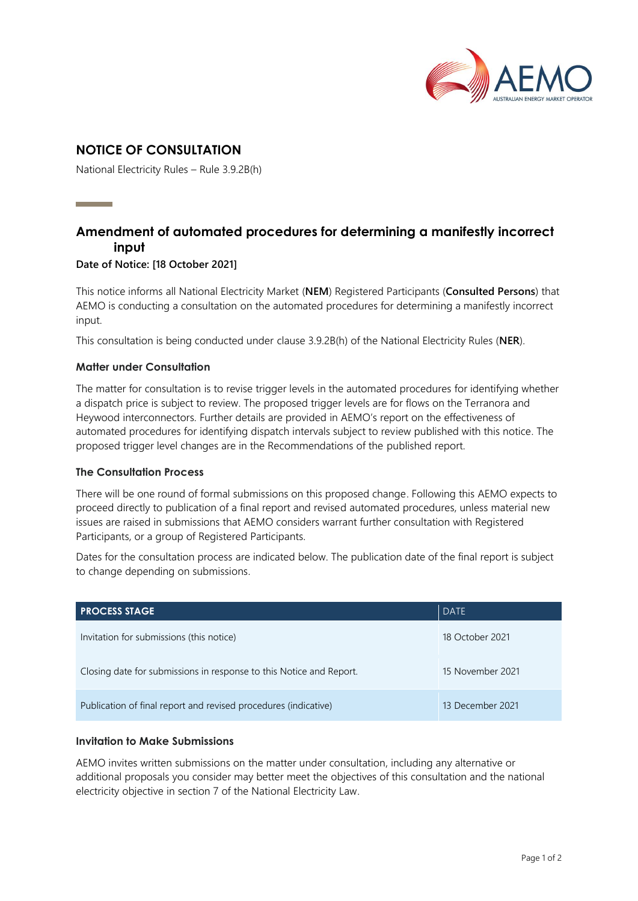

# **NOTICE OF CONSULTATION**

National Electricity Rules – Rule 3.9.2B(h)

# **Amendment of automated procedures for determining a manifestly incorrect input**

#### **Date of Notice: [18 October 2021]**

This notice informs all National Electricity Market (**NEM**) Registered Participants (**Consulted Persons**) that AEMO is conducting a consultation on the automated procedures for determining a manifestly incorrect input.

This consultation is being conducted under clause 3.9.2B(h) of the National Electricity Rules (**NER**).

#### **Matter under Consultation**

The matter for consultation is to revise trigger levels in the automated procedures for identifying whether a dispatch price is subject to review. The proposed trigger levels are for flows on the Terranora and Heywood interconnectors. Further details are provided in AEMO's report on the effectiveness of automated procedures for identifying dispatch intervals subject to review published with this notice. The proposed trigger level changes are in the Recommendations of the published report.

#### **The Consultation Process**

There will be one round of formal submissions on this proposed change. Following this AEMO expects to proceed directly to publication of a final report and revised automated procedures, unless material new issues are raised in submissions that AEMO considers warrant further consultation with Registered Participants, or a group of Registered Participants.

Dates for the consultation process are indicated below. The publication date of the final report is subject to change depending on submissions.

| <b>PROCESS STAGE</b>                                                | <b>DATE</b>      |
|---------------------------------------------------------------------|------------------|
| Invitation for submissions (this notice)                            | 18 October 2021  |
| Closing date for submissions in response to this Notice and Report. | 15 November 2021 |
| Publication of final report and revised procedures (indicative)     | 13 December 2021 |

#### **Invitation to Make Submissions**

AEMO invites written submissions on the matter under consultation, including any alternative or additional proposals you consider may better meet the objectives of this consultation and the national electricity objective in section 7 of the National Electricity Law.